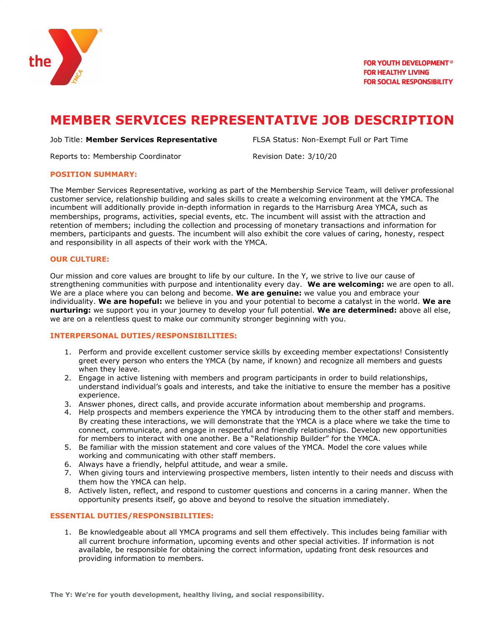

# **MEMBER SERVICES REPRESENTATIVE JOB DESCRIPTION**

### Job Title: **Member Services Representative** FLSA Status: Non-Exempt Full or Part Time

Reports to: Membership Coordinator **Revision Date: 3/10/20** 

## **POSITION SUMMARY:**

The Member Services Representative, working as part of the Membership Service Team, will deliver professional customer service, relationship building and sales skills to create a welcoming environment at the YMCA. The incumbent will additionally provide in-depth information in regards to the Harrisburg Area YMCA, such as memberships, programs, activities, special events, etc. The incumbent will assist with the attraction and retention of members; including the collection and processing of monetary transactions and information for members, participants and guests. The incumbent will also exhibit the core values of caring, honesty, respect and responsibility in all aspects of their work with the YMCA.

## **OUR CULTURE:**

Our mission and core values are brought to life by our culture. In the Y, we strive to live our cause of strengthening communities with purpose and intentionality every day. **We are welcoming:** we are open to all. We are a place where you can belong and become. **We are genuine:** we value you and embrace your individuality. **We are hopeful:** we believe in you and your potential to become a catalyst in the world. **We are nurturing:** we support you in your journey to develop your full potential. **We are determined:** above all else, we are on a relentless quest to make our community stronger beginning with you.

## **INTERPERSONAL DUTIES/RESPONSIBILITIES:**

- 1. Perform and provide excellent customer service skills by exceeding member expectations! Consistently greet every person who enters the YMCA (by name, if known) and recognize all members and guests when they leave.
- 2. Engage in active listening with members and program participants in order to build relationships, understand individual's goals and interests, and take the initiative to ensure the member has a positive experience.
- 3. Answer phones, direct calls, and provide accurate information about membership and programs.
- 4. Help prospects and members experience the YMCA by introducing them to the other staff and members. By creating these interactions, we will demonstrate that the YMCA is a place where we take the time to connect, communicate, and engage in respectful and friendly relationships. Develop new opportunities for members to interact with one another. Be a "Relationship Builder" for the YMCA.
- 5. Be familiar with the mission statement and core values of the YMCA. Model the core values while working and communicating with other staff members.
- 6. Always have a friendly, helpful attitude, and wear a smile.
- 7. When giving tours and interviewing prospective members, listen intently to their needs and discuss with them how the YMCA can help.
- 8. Actively listen, reflect, and respond to customer questions and concerns in a caring manner. When the opportunity presents itself, go above and beyond to resolve the situation immediately.

## **ESSENTIAL DUTIES/RESPONSIBILITIES:**

1. Be knowledgeable about all YMCA programs and sell them effectively. This includes being familiar with all current brochure information, upcoming events and other special activities. If information is not available, be responsible for obtaining the correct information, updating front desk resources and providing information to members.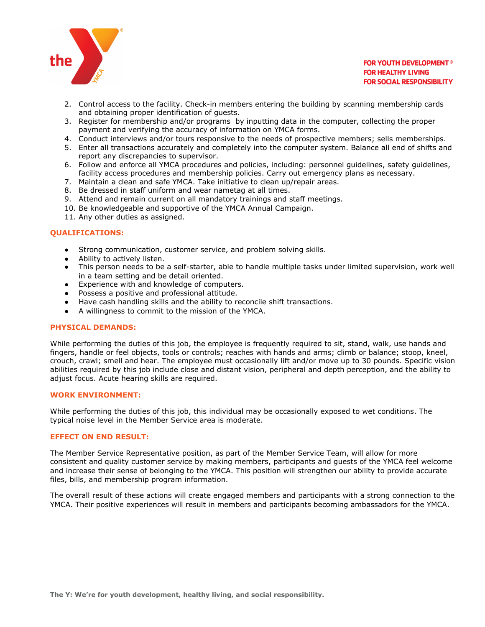

## **FOR YOUTH DEVELOPMENT<sup>®</sup> FOR HEALTHY LIVING FOR SOCIAL RESPONSIBILITY**

- 2. Control access to the facility. Check-in members entering the building by scanning membership cards and obtaining proper identification of guests.
- 3. Register for membership and/or programs by inputting data in the computer, collecting the proper payment and verifying the accuracy of information on YMCA forms.
- 4. Conduct interviews and/or tours responsive to the needs of prospective members; sells memberships.
- 5. Enter all transactions accurately and completely into the computer system. Balance all end of shifts and report any discrepancies to supervisor.
- 6. Follow and enforce all YMCA procedures and policies, including: personnel guidelines, safety guidelines, facility access procedures and membership policies. Carry out emergency plans as necessary.
- 7. Maintain a clean and safe YMCA. Take initiative to clean up/repair areas.
- 8. Be dressed in staff uniform and wear nametag at all times.
- 9. Attend and remain current on all mandatory trainings and staff meetings.
- 10. Be knowledgeable and supportive of the YMCA Annual Campaign.
- 11. Any other duties as assigned.

# **QUALIFICATIONS:**

- Strong communication, customer service, and problem solving skills.
- Ability to actively listen.
- This person needs to be a self-starter, able to handle multiple tasks under limited supervision, work well in a team setting and be detail oriented.
- Experience with and knowledge of computers.
- Possess a positive and professional attitude.
- Have cash handling skills and the ability to reconcile shift transactions.
- A willingness to commit to the mission of the YMCA.

# **PHYSICAL DEMANDS:**

While performing the duties of this job, the employee is frequently required to sit, stand, walk, use hands and fingers, handle or feel objects, tools or controls; reaches with hands and arms; climb or balance; stoop, kneel, crouch, crawl; smell and hear. The employee must occasionally lift and/or move up to 30 pounds. Specific vision abilities required by this job include close and distant vision, peripheral and depth perception, and the ability to adjust focus. Acute hearing skills are required.

## **WORK ENVIRONMENT:**

While performing the duties of this job, this individual may be occasionally exposed to wet conditions. The typical noise level in the Member Service area is moderate.

## **EFFECT ON END RESULT:**

The Member Service Representative position, as part of the Member Service Team, will allow for more consistent and quality customer service by making members, participants and guests of the YMCA feel welcome and increase their sense of belonging to the YMCA. This position will strengthen our ability to provide accurate files, bills, and membership program information.

The overall result of these actions will create engaged members and participants with a strong connection to the YMCA. Their positive experiences will result in members and participants becoming ambassadors for the YMCA.